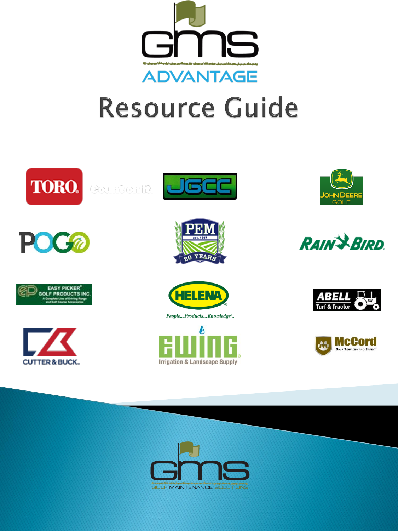

# **Resource Guide**















**Irrigation & Landscape Supply** 









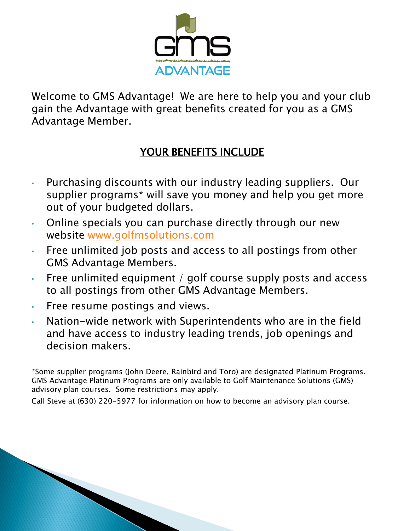

Welcome to GMS Advantage! We are here to help you and your club gain the Advantage with great benefits created for you as a GMS Advantage Member.

### YOUR BENEFITS INCLUDE

- Purchasing discounts with our industry leading suppliers. Our supplier programs\* will save you money and help you get more out of your budgeted dollars.
- Online specials you can purchase directly through our new website [www.golfmsolutions.com](http://www.golfmsolutions.com/)
- Free unlimited job posts and access to all postings from other GMS Advantage Members.
- Free unlimited equipment / golf course supply posts and access to all postings from other GMS Advantage Members.
- Free resume postings and views.
- Nation-wide network with Superintendents who are in the field and have access to industry leading trends, job openings and decision makers.

\*Some supplier programs (John Deere, Rainbird and Toro) are designated Platinum Programs. GMS Advantage Platinum Programs are only available to Golf Maintenance Solutions (GMS) advisory plan courses. Some restrictions may apply.

Call Steve at (630) 220-5977 for information on how to become an advisory plan course.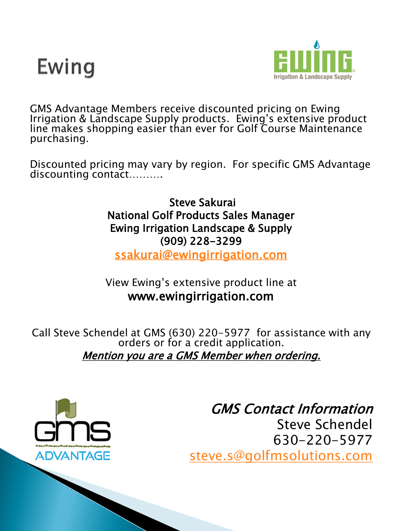



GMS Advantage Members receive discounted pricing on Ewing Irrigation & Landscape Supply products. Ewing's extensive product line makes shopping easier than ever for Golf Course Maintenance purchasing.

Discounted pricing may vary by region. For specific GMS Advantage discounting contact……….

> Steve Sakurai National Golf Products Sales Manager Ewing Irrigation Landscape & Supply [\(909\) 228-3299](mailto:ssakurai@ewingirrigation.com)

ssakurai@ewingirrigation.com

View Ewing's extensive product line at www.ewingirrigation.com

Call Steve Schendel at GMS (630) 220-5977 for assistance with any orders or for a credit application. Mention you are a GMS Member when ordering.

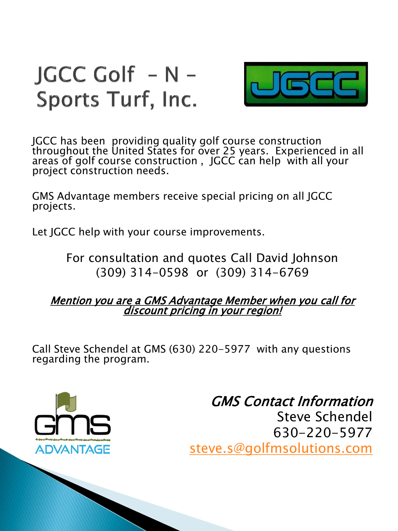



JGCC has been providing quality golf course construction throughout the United States for over 25 years. Experienced in all areas of golf course construction , JGCC can help with all your project construction needs.

GMS Advantage members receive special pricing on all JGCC projects.

Let JGCC help with your course improvements.

For consultation and quotes Call David Johnson (309) 314-0598 or (309) 314-6769

#### Mention you are a GMS Advantage Member when you call for discount pricing in your region!

Call Steve Schendel at GMS (630) 220-5977 with any questions regarding the program.

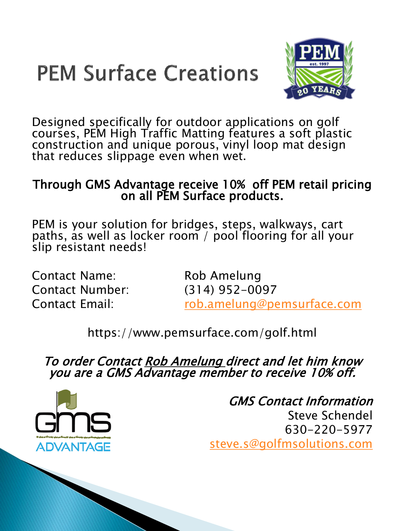



Designed specifically for outdoor applications on golf courses, PEM High Traffic Matting features a soft plastic construction and unique porous, vinyl loop mat design that reduces slippage even when wet.

#### Through GMS Advantage receive 10% off PEM retail pricing on all PEM Surface products.

PEM is your solution for bridges, steps, walkways, cart paths, as well as locker room / pool flooring for all your slip resistant needs!

Contact Name: Rob Amelung Contact Number: (314) 952-0097

Contact Email: [rob.amelung@pemsurface.com](mailto:rob.amelung@pemsurface.com)

https://www.pemsurface.com/golf.html

To order Contact Rob Amelung direct and let him know you are a GMS Advantage member to receive 10% off.

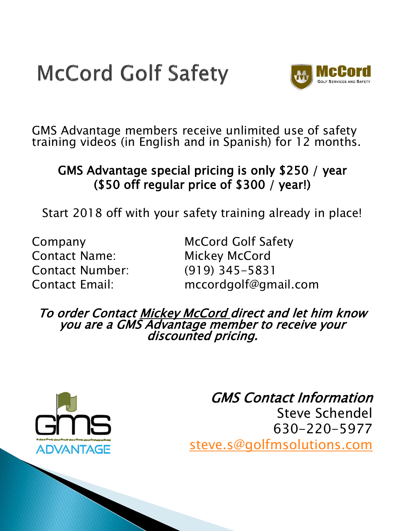# **McCord Golf Safety**



GMS Advantage members receive unlimited use of safety training videos (in English and in Spanish) for 12 months.

### GMS Advantage special pricing is only \$250 / year (\$50 off regular price of \$300 / year!)

Start 2018 off with your safety training already in place!

Contact Name: Mickey McCord Contact Number: (919) 345-5831

Company McCord Golf Safety Contact Email: mccordgolf@gmail.com

To order Contact Mickey McCord direct and let him know you are a GMS Advantage member to receive your discounted pricing.

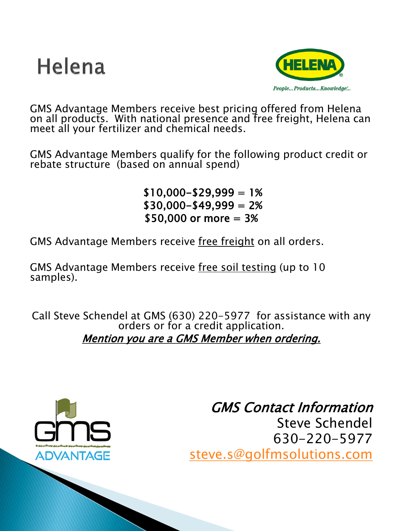



GMS Advantage Members receive best pricing offered from Helena on all products. With national presence and free freight, Helena can meet all your fertilizer and chemical needs.

GMS Advantage Members qualify for the following product credit or rebate structure (based on annual spend)

> $$10,000 - $29,999 = 1%$  $$30,000 - $49,999 = 2%$ \$50,000 or more = 3%

GMS Advantage Members receive free freight on all orders.

GMS Advantage Members receive free soil testing (up to 10 samples).

Call Steve Schendel at GMS (630) 220-5977 for assistance with any orders or for a credit application. Mention you are a GMS Member when ordering.

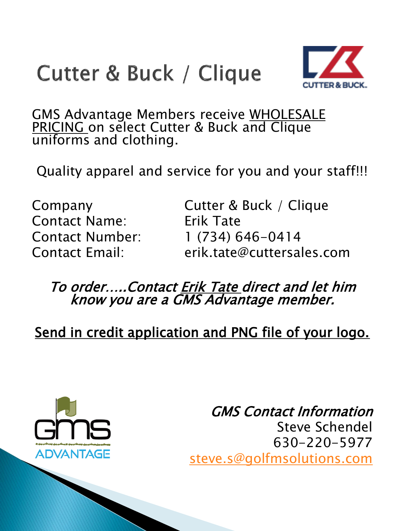## Cutter & Buck / Clique



GMS Advantage Members receive WHOLESALE PRICING on select Cutter & Buck and Clique uniforms and clothing.

Quality apparel and service for you and your staff!!!

Contact Name: Erik Tate

Company Cutter & Buck / Clique Contact Number: 1 (734) 646-0414 Contact Email: erik.tate@cuttersales.com

To order…..Contact Erik Tate direct and let him know you are a GMS Advantage member.

Send in credit application and PNG file of your logo.

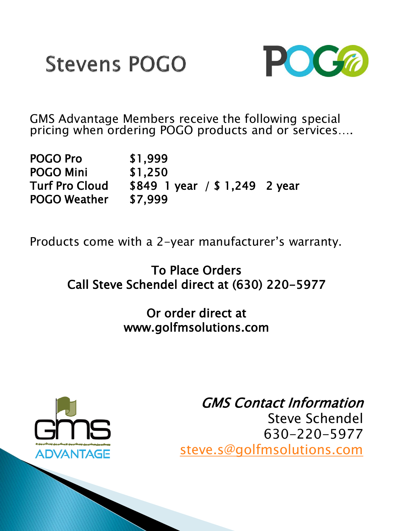



GMS Advantage Members receive the following special pricing when ordering POGO products and or services....

| <b>POGO Pro</b>       | \$1,999                         |  |
|-----------------------|---------------------------------|--|
| <b>POGO Mini</b>      | \$1,250                         |  |
| <b>Turf Pro Cloud</b> | $$849$ 1 year / \$ 1,249 2 year |  |
| <b>POGO Weather</b>   | \$7.999                         |  |

Products come with a 2-year manufacturer's warranty.

### To Place Orders Call Steve Schendel direct at (630) 220-5977

### Or order direct at www.golfmsolutions.com



## GMS Contact Information

Steve Schendel 630-220-5977 [steve.s@golfmsolutions.com](mailto:steve.s@golfmsolutions.com)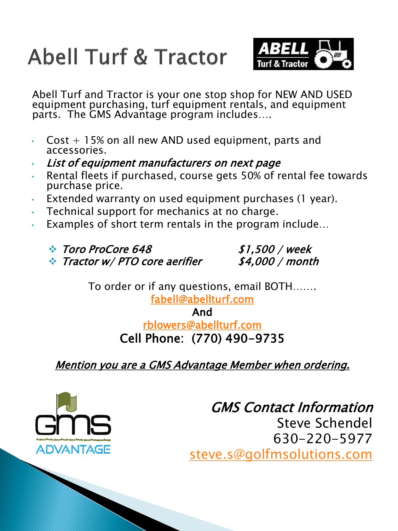# **Abell Turf & Tractor**



Abell Turf and Tractor is your one stop shop for NEW AND USED equipment purchasing, turf equipment rentals, and equipment parts. The GMS Advantage program includes….

- $Cost + 15\%$  on all new AND used equipment, parts and accessories.
- List of equipment manufacturers on next page
- Rental fleets if purchased, course gets 50% of rental fee towards purchase price.
- Extended warranty on used equipment purchases (1 year).
- Technical support for mechanics at no charge.
- Examples of short term rentals in the program include...
	- $\cdot$  Toro ProCore 648  $\cdot$  \$1,500 / week
	- Tractor w/ PTO core aerifier \$4,000 / month

To order or if any questions, email BOTH…….

[fabell@abellturf.com](mailto:fabell@abellturf.com) 

And

[rblowers@abellturf.com](mailto:rblowers@abellturf.com) Cell Phone: (770) 490-9735

Mention you are a GMS Advantage Member when ordering.

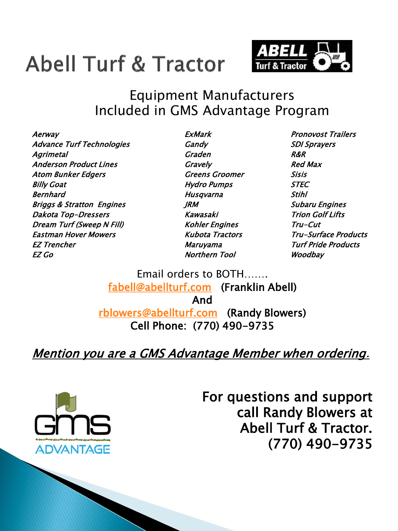## **Abell Turf & Tractor**



## Equipment Manufacturers Included in GMS Advantage Program

Aerway ExMark Pronovost Trailers Advance Turf Technologies Gandy Gandy SDI Sprayers Agrimetal Graden R&R Anderson Product Lines Gravely Red Max Atom Bunker Edgers Greens Groomer Sisis Billy Goat **Example 2** and the Hydro Pumps STEC Bernhard Stihl School and Stihl Stihl Stihl Stihl Stihl Stihl Stihl Stihl Stihl Stihl Stihl Stihl Stihl Stihl Briggs & Stratton Engines TRM Subaru Engines Dakota Top-Dressers Kawasaki Trion Golf Lifts Dream Turf (Sweep N Fill) Kohler Engines Tru-Cut Eastman Hover Mowers Kubota Tractors Tru-Surface Products EZ Trencher Maruyama Turf Pride Products EZ Go Northern Tool Woodbay

Email orders to BOTH……. [fabell@abellturf.com](mailto:fabell@abellturf.com) (Franklin Abell) And [rblowers@abellturf.com](mailto:rblowers@abellturf.com) (Randy Blowers) Cell Phone: (770) 490-9735

Mention you are a GMS Advantage Member when ordering.



For questions and support call Randy Blowers at Abell Turf & Tractor. (770) 490-9735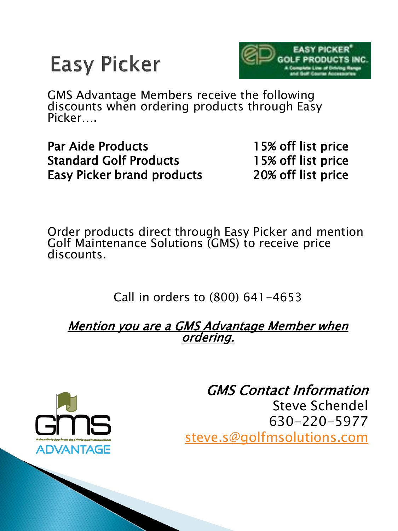



GMS Advantage Members receive the following discounts when ordering products through Easy Picker….

Par Aide Products 15% off list price Standard Golf Products 15% off list price Easy Picker brand products 20% off list price

Order products direct through Easy Picker and mention Golf Maintenance Solutions (GMS) to receive price discounts.

Call in orders to (800) 641-4653

Mention you are a GMS Advantage Member when ordering.

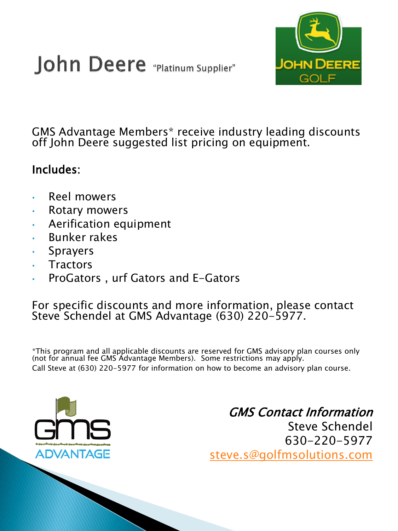



GMS Advantage Members\* receive industry leading discounts off John Deere suggested list pricing on equipment.

#### Includes:

- Reel mowers
- Rotary mowers
- Aerification equipment
- Bunker rakes
- **Sprayers**
- **Tractors**
- ProGators, urf Gators and E-Gators

#### For specific discounts and more information, please contact Steve Schendel at GMS Advantage (630) 220-5977.

\*This program and all applicable discounts are reserved for GMS advisory plan courses only (not for annual fee GMS Advantage Members). Some restrictions may apply. Call Steve at (630) 220-5977 for information on how to become an advisory plan course.

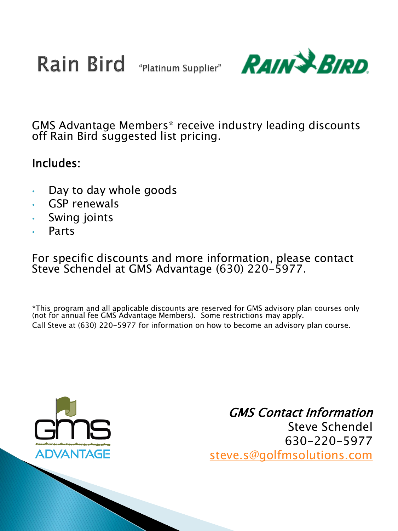**Rain Bird** "Platinum Supplier"



GMS Advantage Members\* receive industry leading discounts off Rain Bird suggested list pricing.

#### Includes:

- Day to day whole goods
- GSP renewals
- Swing joints
- Parts

For specific discounts and more information, please contact Steve Schendel at GMS Advantage (630) 220-5977.

\*This program and all applicable discounts are reserved for GMS advisory plan courses only (not for annual fee GMS Advantage Members). Some restrictions may apply. Call Steve at (630) 220-5977 for information on how to become an advisory plan course.